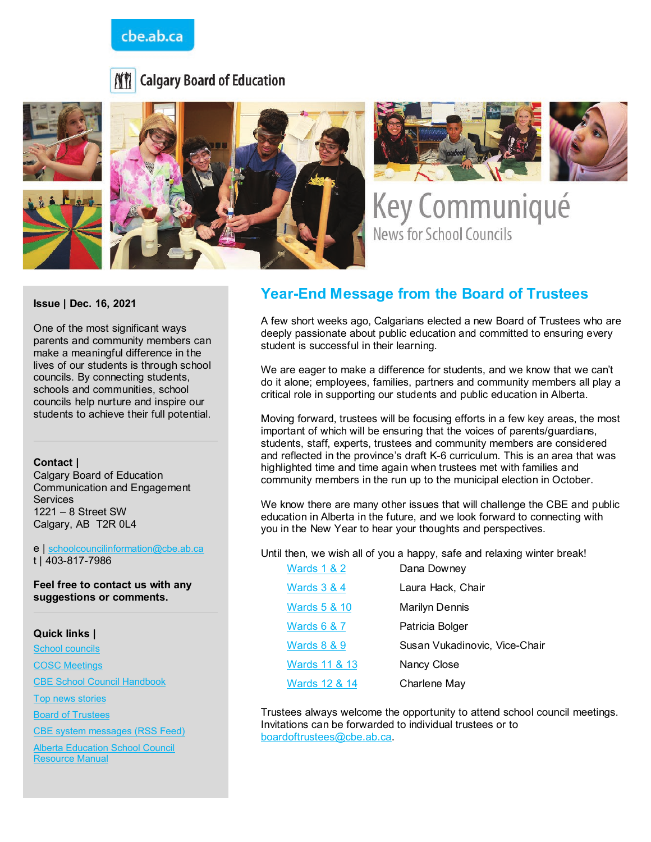## cbe.ab.ca







Key Communiqué **News for School Councils** 

**Issue | Dec. 16, 2021**

One of the most significant ways parents and community members can make a meaningful difference in the lives of our students is through school councils. By connecting students, schools and communities, school councils help nurture and inspire our students to achieve their full potential.

#### **Contact |**

Calgary Board of Education Communication and Engagement **Services** 1221 – 8 Street SW Calgary, AB T2R 0L4

e | [schoolcouncilinformation@cbe.ab.ca](mailto:schoolcouncilinformation@cbe.ab.ca) t | 403-817-7986

**Feel free to contact us with any suggestions or comments.**

**Quick links |**

[School councils](http://www.cbe.ab.ca/get-involved/school-councils/Pages/school-councils.aspx)

[COSC Meetings](http://www.cbe.ab.ca/get-involved/school-councils/Pages/meetings.aspx)

[CBE School Council Handbook](http://cbe.ab.ca/FormsManuals/School-Council-Handbook.pdf)

[Top news stories](http://cbe.ab.ca/Pages/default.aspx)

[Board of Trustees](http://cbe.ab.ca/about-us/board-of-trustees/Pages/default.aspx)

[CBE system messages \(RSS Feed\)](http://cbe.ab.ca/news-centre/rss/Pages/default.aspx)

**Alberta Education School Council** [Resource Manual](https://education.alberta.ca/media/3273179/school-council-resource-guide-2016-final.pdf)

## **Year-End Message from the Board of Trustees**

A few short weeks ago, Calgarians elected a new Board of Trustees who are deeply passionate about public education and committed to ensuring every student is successful in their learning.

We are eager to make a difference for students, and we know that we can't do it alone; employees, families, partners and community members all play a critical role in supporting our students and public education in Alberta.

Moving forward, trustees will be focusing efforts in a few key areas, the most important of which will be ensuring that the voices of parents/guardians, students, staff, experts, trustees and community members are considered and reflected in the province's draft K-6 curriculum. This is an area that was highlighted time and time again when trustees met with families and community members in the run up to the municipal election in October.

We know there are many other issues that will challenge the CBE and public education in Alberta in the future, and we look forward to connecting with you in the New Year to hear your thoughts and perspectives.

Until then, we wish all of you a happy, safe and relaxing winter break!

| <b>Wards 1 &amp; 2</b>  | Dana Downey                   |
|-------------------------|-------------------------------|
| <b>Wards 3 &amp; 4</b>  | Laura Hack, Chair             |
| <b>Wards 5 &amp; 10</b> | Marilyn Dennis                |
| <b>Wards 6 &amp; 7</b>  | Patricia Bolger               |
| <b>Wards 8 &amp; 9</b>  | Susan Vukadinovic, Vice-Chair |
| Wards 11 & 13           | Nancy Close                   |
| Wards 12 & 14           | Charlene May                  |

Trustees always welcome the opportunity to attend school council meetings. Invitations can be forwarded to individual trustees or to [boardoftrustees@cbe.ab.ca.](mailto:boardoftrustees@cbe.ab.ca)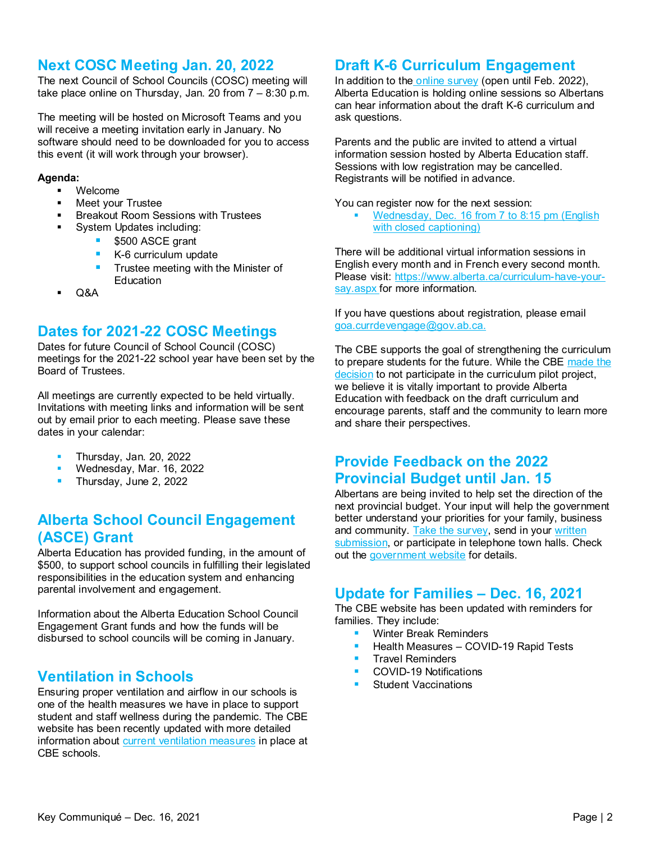## **Next COSC Meeting Jan. 20, 2022**

The next Council of School Councils (COSC) meeting will take place online on Thursday, Jan. 20 from 7 – 8:30 p.m.

The meeting will be hosted on Microsoft Teams and you will receive a meeting invitation early in January. No software should need to be downloaded for you to access this event (it will work through your browser).

#### **Agenda:**

- Welcome
- Meet your Trustee
- **Breakout Room Sessions with Trustees** 
	- System Updates including:
		- \$500 ASCE grant
		- K-6 curriculum update
		- $\blacksquare$  Trustee meeting with the Minister of **Education**
- Q&A

#### **Dates for 2021-22 COSC Meetings**

Dates for future Council of School Council (COSC) meetings for the 2021-22 school year have been set by the Board of Trustees.

All meetings are currently expected to be held virtually. Invitations with meeting links and information will be sent out by email prior to each meeting. Please save these dates in your calendar:

- Thursday, Jan. 20, 2022
- Wednesday, Mar. 16, 2022
- Thursday, June 2, 2022

## **Alberta School Council Engagement (ASCE) Grant**

Alberta Education has provided funding, in the amount of \$500, to support school councils in fulfilling their legislated responsibilities in the education system and enhancing parental involvement and engagement.

Information about the Alberta Education School Council Engagement Grant funds and how the funds will be disbursed to school councils will be coming in January.

# **Ventilation in Schools**

Ensuring proper ventilation and airflow in our schools is one of the health measures we have in place to support student and staff wellness during the pandemic. The CBE website has been recently updated with more detailed information about [current ventilation measures](https://cbe.ab.ca/about-us/school-culture-and-environment/health-and-wellness-in-school/Pages/ventilation-in-schools.aspx) in place at CBE schools.

# **Draft K-6 Curriculum Engagement**

In addition to the [online survey](https://www.alberta.ca/curriculum-have-your-say.aspx) (open until Feb. 2022), Alberta Education is holding online sessions so Albertans can hear information about the draft K-6 curriculum and ask questions.

Parents and the public are invited to attend a virtual information session hosted by Alberta Education staff. Sessions with low registration may be cancelled. Registrants will be notified in advance.

You can register now for the next session:

 Wednesday, Dec. [16 from 7 to 8:15 pm \(English](https://us02web.zoom.us/webinar/register/WN_jJfGY_zxQpu8Uojy6ge-AQ)  [with closed captioning\)](https://us02web.zoom.us/webinar/register/WN_jJfGY_zxQpu8Uojy6ge-AQ)

There will be additional virtual information sessions in English every month and in French every second month. Please visit: [https://www.alberta.ca/curriculum-have-your](https://www.alberta.ca/curriculum-have-your-say.aspx)[say.aspx](https://www.alberta.ca/curriculum-have-your-say.aspx) for more information.

If you have questions about registration, please email [goa.currdevengage@gov.ab.ca.](mailto:goa.currdevengage@gov.ab.ca)

The CBE supports the goal of strengthening the curriculum to prepare students for the future. While the CBE [made the](https://www.cbe.ab.ca/news-centre/Pages/draft-curriculum-pilot-2021.aspx)  [decision](https://www.cbe.ab.ca/news-centre/Pages/draft-curriculum-pilot-2021.aspx) to not participate in the curriculum pilot project, we believe it is vitally important to provide Alberta Education with feedback on the draft curriculum and encourage parents, staff and the community to learn more and share their perspectives.

#### **Provide Feedback on the 2022 Provincial Budget until Jan. 15**

Albertans are being invited to help set the direction of the next provincial budget. Your input will help the government better understand your priorities for your family, business and community. [Take the survey,](https://your.alberta.ca/budget-2022/survey_tools/public-survey) send in your [written](https://your.alberta.ca/budget-2022/survey_tools/submissions)  [submission,](https://your.alberta.ca/budget-2022/survey_tools/submissions) or participate in telephone town halls. Check out the [government website](https://www.alberta.ca/budget-2022-consultation.aspx) for details.

#### **[Update for Families –](https://www.cbe.ab.ca/news-centre/Pages/2021-22-update-for-families-december-16-2021.aspx) Dec. 16, 2021**

The CBE website has been updated with reminders for families. They include:

- Winter Break Reminders
- Health Measures COVID-19 Rapid Tests
- **Travel Reminders**
- COVID-19 Notifications
- Student Vaccinations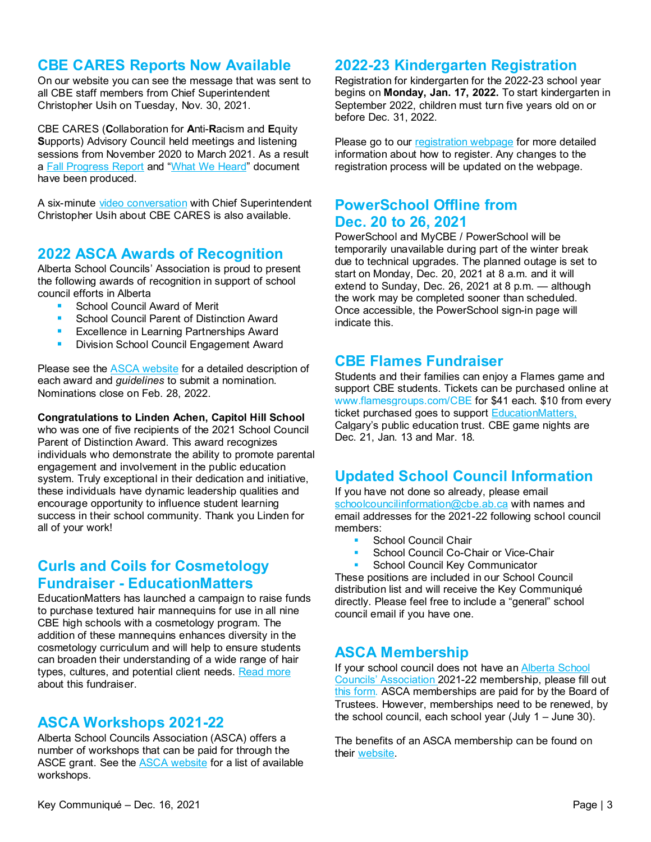## **CBE CARES Reports Now Available**

On our website you can see the message that was sent to all CBE staff members from Chief Superintendent Christopher Usih on Tuesday, Nov. 30, 2021.

CBE CARES (**C**ollaboration for **A**nti-**R**acism and **E**quity **S**upports) Advisory Council held meetings and listening sessions from November 2020 to March 2021. As a result a [Fall Progress Report](https://www.cbe.ab.ca/about-us/school-culture-and-environment/Pages/anti-racism-and-equity.aspx) and ["What We Heard"](https://www.cbe.ab.ca/about-us/school-culture-and-environment/Documents/CBE-CARES-What-We-Heard-Report-2021.pdf) document have been produced.

A six-minute [video conversation](https://www.youtube.com/watch?v=nAExDxR4Pos) with Chief Superintendent Christopher Usih about CBE CARES is also available.

#### **2022 ASCA Awards of Recognition**

Alberta School Councils' Association is proud to present the following awards of recognition in support of school council efforts in Alberta

- School Council Award of Merit
- School Council Parent of Distinction Award
- Excellence in Learning Partnerships Award
- **Division School Council Engagement Award**

Please see the **ASCA** website for a detailed description of each award and *guidelines* to submit a nomination. Nominations close on Feb. 28, 2022.

#### **Congratulations to Linden Achen, Capitol Hill School**

who was one of five recipients of the 2021 School Council Parent of Distinction Award. This award recognizes individuals who demonstrate the ability to promote parental engagement and involvement in the public education system. Truly exceptional in their dedication and initiative, these individuals have dynamic leadership qualities and encourage opportunity to influence student learning success in their school community. Thank you Linden for all of your work!

## **[Curls and Coils for Cosmetology](https://www.educationmatters.ca/campaign/curls-and-coils-for-cosmetology/)  Fundraiser - [EducationMatters](https://www.educationmatters.ca/campaign/curls-and-coils-for-cosmetology/)**

EducationMatters has launched a campaign to raise funds to purchase textured hair mannequins for use in all nine CBE high schools with a cosmetology program. The addition of these mannequins enhances diversity in the cosmetology curriculum and will help to ensure students can broaden their understanding of a wide range of hair types, cultures, and potential client needs. [Read more](https://www.educationmatters.ca/campaign/curls-and-coils-for-cosmetology/) about this fundraiser.

#### **ASCA Workshops 2021-22**

Alberta School Councils Association (ASCA) offers a number of workshops that can be paid for through the ASCE grant. See the [ASCA website](https://www.albertaschoolcouncils.ca/school-councils/workshops/workshops-2021-2022) for a list of available workshops.

#### **2022-23 Kindergarten Registration**

Registration for kindergarten for the 2022-23 school year begins on **Monday, Jan. 17, 2022.** To start kindergarten in September 2022, children must turn five years old on or before Dec. 31, 2022.

Please go to our [registration webpage](https://cbe.ab.ca/registration/registration/Pages/Kindergarten-to-Grade-9.aspx) for more detailed information about how to register. Any changes to the registration process will be updated on the webpage.

## **PowerSchool Offline from Dec. 20 to 26, 2021**

PowerSchool and MyCBE / PowerSchool will be temporarily unavailable during part of the winter break due to technical upgrades. The planned outage is set to start on Monday, Dec. 20, 2021 at 8 a.m. and it will extend to Sunday, Dec. 26, 2021 at 8 p.m. — although the work may be completed sooner than scheduled. Once accessible, the PowerSchool sign-in page will indicate this.

#### **CBE Flames Fundraiser**

Students and their families can enjoy a Flames game and support CBE students. Tickets can be purchased online at [www.flamesgroups.com/CBE](http://www.flamesgroups.com/CBE) for \$41 each. \$10 from every ticket purchased goes to support [EducationMatters,](https://www.educationmatters.ca/) Calgary's public education trust. CBE game nights are Dec. 21, Jan. 13 and Mar. 18.

# **Updated School Council Information**

If you have not done so already, please email [schoolcouncilinformation@cbe.ab.ca](mailto:schoolcouncilinformation@cbe.ab.ca) with names and email addresses for the 2021-22 following school council members:

- School Council Chair
- School Council Co-Chair or Vice-Chair
- School Council Key Communicator

These positions are included in our School Council distribution list and will receive the Key Communiqué directly. Please feel free to include a "general" school council email if you have one.

#### **ASCA Membership**

If your school council does not have a[n Alberta School](https://www.albertaschoolcouncils.ca/)  [Councils' Association](https://www.albertaschoolcouncils.ca/) 2021-22 membership, please fill out [this form](https://www.albertaschoolcouncils.ca/about/membership/request-for-membership)*.* ASCA memberships are paid for by the Board of Trustees. However, memberships need to be renewed, by the school council, each school year (July 1 – June 30).

The benefits of an ASCA membership can be found on their [website.](https://www.albertaschoolcouncils.ca/about/membership/benefits-of-membership)